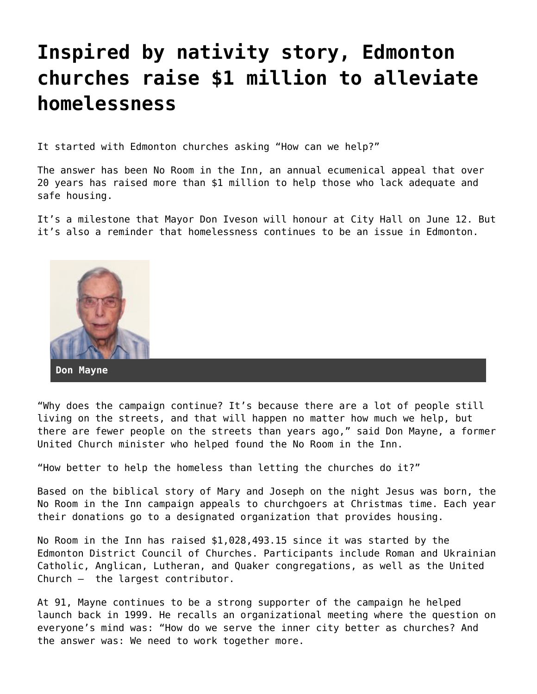## **[Inspired by nativity story, Edmonton](https://grandinmedia.ca/inspired-by-nativity-story-edmonton-churches-raise-1-million-to-alleviate-homelessness/) [churches raise \\$1 million to alleviate](https://grandinmedia.ca/inspired-by-nativity-story-edmonton-churches-raise-1-million-to-alleviate-homelessness/) [homelessness](https://grandinmedia.ca/inspired-by-nativity-story-edmonton-churches-raise-1-million-to-alleviate-homelessness/)**

It started with Edmonton churches asking "How can we help?"

The answer has been No Room in the Inn, an annual ecumenical appeal that over 20 years has raised more than \$1 million to help those who lack adequate and safe housing.

It's a milestone that Mayor Don Iveson will honour at City Hall on June 12. But it's also a reminder that homelessness continues to be an issue in Edmonton.



"Why does the campaign continue? It's because there are a lot of people still living on the streets, and that will happen no matter how much we help, but there are fewer people on the streets than years ago," said Don Mayne, a former United Church minister who helped found the No Room in the Inn.

"How better to help the homeless than letting the churches do it?"

Based on the biblical story of Mary and Joseph on the night Jesus was born, the No Room in the Inn campaign appeals to churchgoers at Christmas time. Each year their donations go to a designated organization that provides housing.

No Room in the Inn has raised \$1,028,493.15 since it was started by the Edmonton District Council of Churches. Participants include Roman and Ukrainian Catholic, Anglican, Lutheran, and Quaker congregations, as well as the United Church – the largest contributor.

At 91, Mayne continues to be a strong supporter of the campaign he helped launch back in 1999. He recalls an organizational meeting where the question on everyone's mind was: "How do we serve the inner city better as churches? And the answer was: We need to work together more.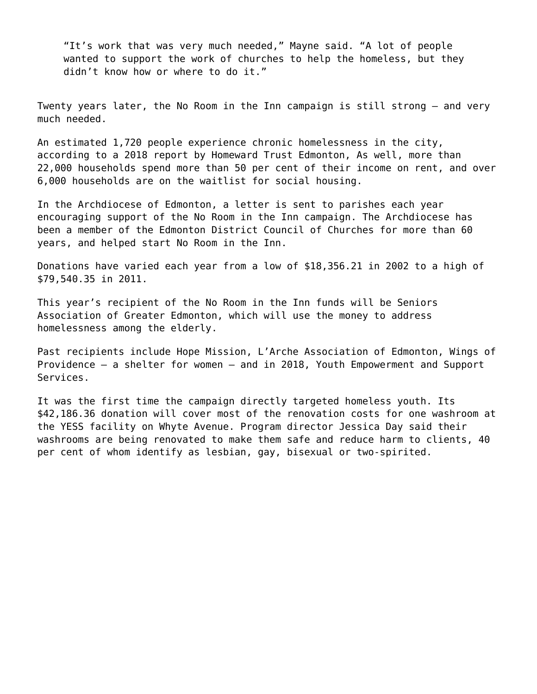"It's work that was very much needed," Mayne said. "A lot of people wanted to support the work of churches to help the homeless, but they didn't know how or where to do it."

Twenty years later, the No Room in the Inn campaign is still strong – and very much needed.

An estimated 1,720 people experience chronic homelessness in the city, [according to a 2018 report](http://homewardtrust.ca/wp-content/uploads/2018/12/2018-Community-Update-Booklet.pdf) by Homeward Trust Edmonton, As well, more than 22,000 households spend more than 50 per cent of their income on rent, and over 6,000 households are on the waitlist for social housing.

In the Archdiocese of Edmonton, a letter is sent to parishes each year encouraging support of the No Room in the Inn campaign. The Archdiocese has been a member of the Edmonton District Council of Churches for more than 60 years, and helped start No Room in the Inn.

Donations have varied each year from a low of \$18,356.21 in 2002 to a high of \$79,540.35 in 2011.

This year's recipient of the No Room in the Inn funds will be Seniors Association of Greater Edmonton, which will use the money to address homelessness among the elderly.

Past recipients include Hope Mission, L'Arche Association of Edmonton, Wings of Providence – a shelter for women – and in 2018, Youth Empowerment and Support Services.

It was the first time the campaign directly targeted homeless youth. Its \$42,186.36 donation will cover most of the renovation costs for one washroom at the YESS facility on Whyte Avenue. Program director Jessica Day said their washrooms are being renovated to make them safe and reduce harm to clients, 40 per cent of whom identify as lesbian, gay, bisexual or two-spirited.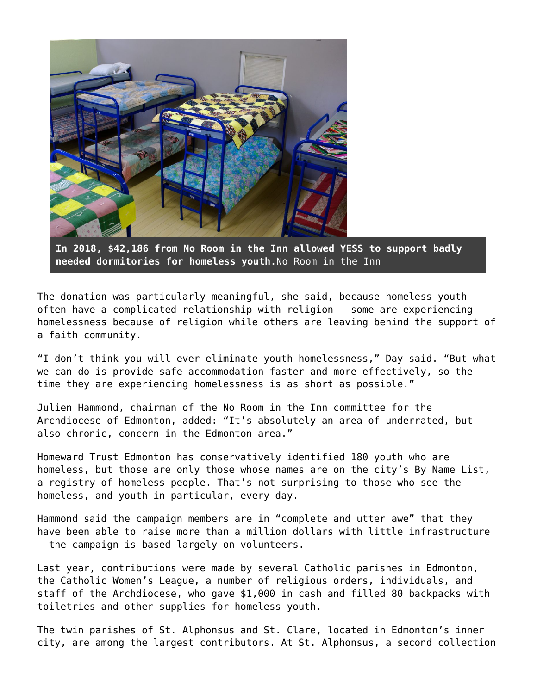

**In 2018, \$42,186 from No Room in the Inn allowed YESS to support badly needed dormitories for homeless youth.**No Room in the Inn

The donation was particularly meaningful, she said, because homeless youth often have a complicated relationship with religion – some are experiencing homelessness because of religion while others are leaving behind the support of a faith community.

"I don't think you will ever eliminate youth homelessness," Day said. "But what we can do is provide safe accommodation faster and more effectively, so the time they are experiencing homelessness is as short as possible."

Julien Hammond, chairman of the No Room in the Inn committee for the Archdiocese of Edmonton, added: "It's absolutely an area of underrated, but also chronic, concern in the Edmonton area."

Homeward Trust Edmonton has conservatively identified 180 youth who are homeless, but those are only those whose names are on the city's By Name List, a registry of homeless people. That's not surprising to those who see the homeless, and youth in particular, every day.

Hammond said the campaign members are in "complete and utter awe" that they have been able to raise more than a million dollars with little infrastructure – the campaign is based largely on volunteers.

Last year, contributions were made by several Catholic parishes in Edmonton, the Catholic Women's League, a number of religious orders, individuals, and staff of the Archdiocese, who gave \$1,000 in cash and filled 80 backpacks with toiletries and other supplies for homeless youth.

The twin parishes of [St. Alphonsus and St. Clare](https://www.stal-stclare.caedm.ca/), located in Edmonton's inner city, are among the largest contributors. At St. Alphonsus, a second collection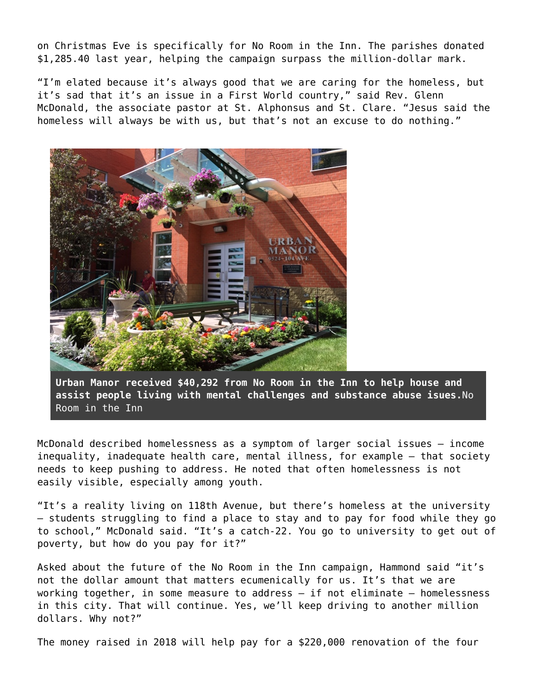on Christmas Eve is specifically for No Room in the Inn. The parishes donated \$1,285.40 last year, helping the campaign surpass the million-dollar mark.

"I'm elated because it's always good that we are caring for the homeless, but it's sad that it's an issue in a First World country," said Rev. Glenn McDonald, the associate pastor at St. Alphonsus and St. Clare. "Jesus said the homeless will always be with us, but that's not an excuse to do nothing."



**Urban Manor received \$40,292 from No Room in the Inn to help house and assist people living with mental challenges and substance abuse isues.**No Room in the Inn

McDonald described homelessness as a symptom of larger social issues – income inequality, inadequate health care, mental illness, for example – that society needs to keep pushing to address. He noted that often homelessness is not easily visible, especially among youth.

"It's a reality living on 118th Avenue, but there's homeless at the university – students struggling to find a place to stay and to pay for food while they go to school," McDonald said. "It's a catch-22. You go to university to get out of poverty, but how do you pay for it?"

Asked about the future of the No Room in the Inn campaign, Hammond said "it's not the dollar amount that matters ecumenically for us. It's that we are working together, in some measure to address – if not eliminate – homelessness in this city. That will continue. Yes, we'll keep driving to another million dollars. Why not?"

The money raised in 2018 will help pay for a \$220,000 renovation of the four